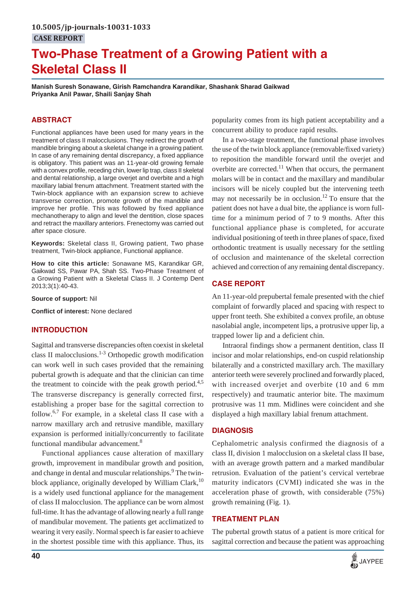# **Two-Phase Treatment of a Growing Patient with a Skeletal Class II**

**Manish Suresh Sonawane, Girish Ramchandra Karandikar, Shashank Sharad Gaikwad Priyanka Anil Pawar, Shaili Sanjay Shah**

# **ABSTRACT**

Functional appliances have been used for many years in the treatment of class II malocclusions. They redirect the growth of mandible bringing about a skeletal change in a growing patient. In case of any remaining dental discrepancy, a fixed appliance is obligatory. This patient was an 11-year-old growing female with a convex profile, receding chin, lower lip trap, class II skeletal and dental relationship, a large overjet and overbite and a high maxillary labial frenum attachment. Treatment started with the Twin-block appliance with an expansion screw to achieve transverse correction, promote growth of the mandible and improve her profile. This was followed by fixed appliance mechanotherapy to align and level the dentition, close spaces and retract the maxillary anteriors. Frenectomy was carried out after space closure.

**Keywords:** Skeletal class II, Growing patient, Two phase treatment, Twin-block appliance, Functional appliance.

**How to cite this article:** Sonawane MS, Karandikar GR, Gaikwad SS, Pawar PA, Shah SS. Two-Phase Treatment of a Growing Patient with a Skeletal Class II. J Contemp Dent 2013;3(1):40-43.

**Source of support:** Nil

**Conflict of interest:** None declared

# **INTRODUCTION**

Sagittal and transverse discrepancies often coexist in skeletal class II malocclusions.<sup>1-3</sup> Orthopedic growth modification can work well in such cases provided that the remaining pubertal growth is adequate and that the clinician can time the treatment to coincide with the peak growth period.<sup>4,5</sup> The transverse discrepancy is generally corrected first, establishing a proper base for the sagittal correction to follow.6,7 For example, in a skeletal class II case with a narrow maxillary arch and retrusive mandible, maxillary expansion is performed initially/concurrently to facilitate functional mandibular advancement.<sup>8</sup>

Functional appliances cause alteration of maxillary growth, improvement in mandibular growth and position, and change in dental and muscular relationships.<sup>9</sup> The twinblock appliance, originally developed by William Clark,<sup>10</sup> is a widely used functional appliance for the management of class II malocclusion. The appliance can be worn almost full-time. It has the advantage of allowing nearly a full range of mandibular movement. The patients get acclimatized to wearing it very easily. Normal speech is far easier to achieve in the shortest possible time with this appliance. Thus, its

popularity comes from its high patient acceptability and a concurrent ability to produce rapid results.

In a two-stage treatment, the functional phase involves the use of the twin block appliance (removable/fixed variety) to reposition the mandible forward until the overjet and overbite are corrected.<sup>11</sup> When that occurs, the permanent molars will be in contact and the maxillary and mandibular incisors will be nicely coupled but the intervening teeth may not necessarily be in occlusion.<sup>12</sup> To ensure that the patient does not have a dual bite, the appliance is worn fulltime for a minimum period of 7 to 9 months. After this functional appliance phase is completed, for accurate individual positioning of teeth in three planes of space, fixed orthodontic treatment is usually necessary for the settling of occlusion and maintenance of the skeletal correction achieved and correction of any remaining dental discrepancy.

# **CASE REPORT**

An 11-year-old prepubertal female presented with the chief complaint of forwardly placed and spacing with respect to upper front teeth. She exhibited a convex profile, an obtuse nasolabial angle, incompetent lips, a protrusive upper lip, a trapped lower lip and a deficient chin.

Intraoral findings show a permanent dentition, class II incisor and molar relationships, end-on cuspid relationship bilaterally and a constricted maxillary arch. The maxillary anterior teeth were severely proclined and forwardly placed, with increased overjet and overbite (10 and 6 mm respectively) and traumatic anterior bite. The maximum protrusive was 11 mm. Midlines were coincident and she displayed a high maxillary labial frenum attachment.

# **DIAGNOSIS**

Cephalometric analysis confirmed the diagnosis of a class II, division 1 malocclusion on a skeletal class II base, with an average growth pattern and a marked mandibular retrusion. Evaluation of the patient's cervical vertebrae maturity indicators (CVMI) indicated she was in the acceleration phase of growth, with considerable (75%) growth remaining (Fig. 1).

# **TREATMENT PLAN**

The pubertal growth status of a patient is more critical for sagittal correction and because the patient was approaching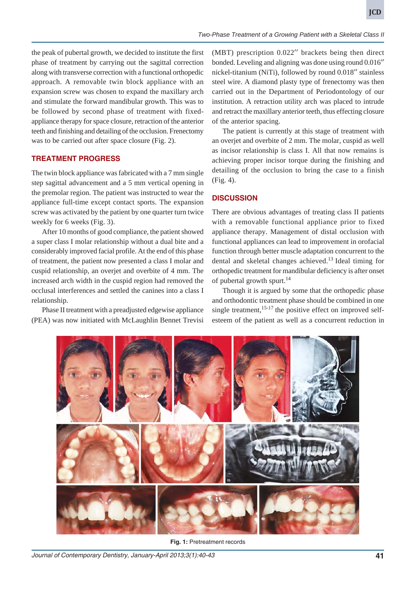the peak of pubertal growth, we decided to institute the first phase of treatment by carrying out the sagittal correction along with transverse correction with a functional orthopedic approach. A removable twin block appliance with an expansion screw was chosen to expand the maxillary arch and stimulate the forward mandibular growth. This was to be followed by second phase of treatment with fixedappliance therapy for space closure, retraction of the anterior teeth and finishing and detailing of the occlusion. Frenectomy was to be carried out after space closure (Fig. 2).

# **TREATMENT PROGRESS**

The twin block appliance was fabricated with a 7 mm single step sagittal advancement and a 5 mm vertical opening in the premolar region. The patient was instructed to wear the appliance full-time except contact sports. The expansion screw was activated by the patient by one quarter turn twice weekly for 6 weeks (Fig. 3).

After 10 months of good compliance, the patient showed a super class I molar relationship without a dual bite and a considerably improved facial profile. At the end of this phase of treatment, the patient now presented a class I molar and cuspid relationship, an overjet and overbite of 4 mm. The increased arch width in the cuspid region had removed the occlusal interferences and settled the canines into a class I relationship.

Phase II treatment with a preadjusted edgewise appliance (PEA) was now initiated with McLaughlin Bennet Trevisi

(MBT) prescription 0.022′′ brackets being then direct bonded. Leveling and aligning was done using round 0.016′′ nickel-titanium (NiTi), followed by round 0.018′′ stainless steel wire. A diamond plasty type of frenectomy was then carried out in the Department of Periodontology of our institution. A retraction utility arch was placed to intrude and retract the maxillary anterior teeth, thus effecting closure of the anterior spacing.

The patient is currently at this stage of treatment with an overjet and overbite of 2 mm. The molar, cuspid as well as incisor relationship is class I. All that now remains is achieving proper incisor torque during the finishing and detailing of the occlusion to bring the case to a finish (Fig. 4).

## **DISCUSSION**

There are obvious advantages of treating class II patients with a removable functional appliance prior to fixed appliance therapy. Management of distal occlusion with functional appliances can lead to improvement in orofacial function through better muscle adaptation concurrent to the dental and skeletal changes achieved.<sup>13</sup> Ideal timing for orthopedic treatment for mandibular deficiency is after onset of pubertal growth spurt.<sup>14</sup>

Though it is argued by some that the orthopedic phase and orthodontic treatment phase should be combined in one single treatment,  $15-17$  the positive effect on improved selfesteem of the patient as well as a concurrent reduction in



**Fig. 1:** Pretreatment records

*Journal of Contemporary Dentistry, January-April 2013;3(1):40-43* **41**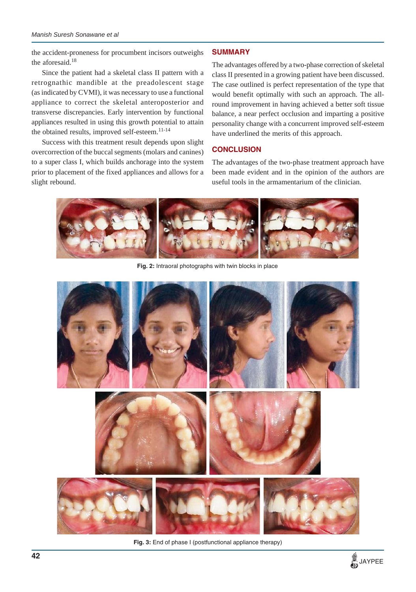the accident-proneness for procumbent incisors outweighs the aforesaid.<sup>18</sup>

Since the patient had a skeletal class II pattern with a retrognathic mandible at the preadolescent stage (as indicated by CVMI), it was necessary to use a functional appliance to correct the skeletal anteroposterior and transverse discrepancies. Early intervention by functional appliances resulted in using this growth potential to attain the obtained results, improved self-esteem. $11-14$ 

Success with this treatment result depends upon slight overcorrection of the buccal segments (molars and canines) to a super class I, which builds anchorage into the system prior to placement of the fixed appliances and allows for a slight rebound.

# **SUMMARY**

The advantages offered by a two-phase correction of skeletal class II presented in a growing patient have been discussed. The case outlined is perfect representation of the type that would benefit optimally with such an approach. The allround improvement in having achieved a better soft tissue balance, a near perfect occlusion and imparting a positive personality change with a concurrent improved self-esteem have underlined the merits of this approach.

# **CONCLUSION**

The advantages of the two-phase treatment approach have been made evident and in the opinion of the authors are useful tools in the armamentarium of the clinician.



**Fig. 2:** Intraoral photographs with twin blocks in place



**Fig. 3:** End of phase I (postfunctional appliance therapy)